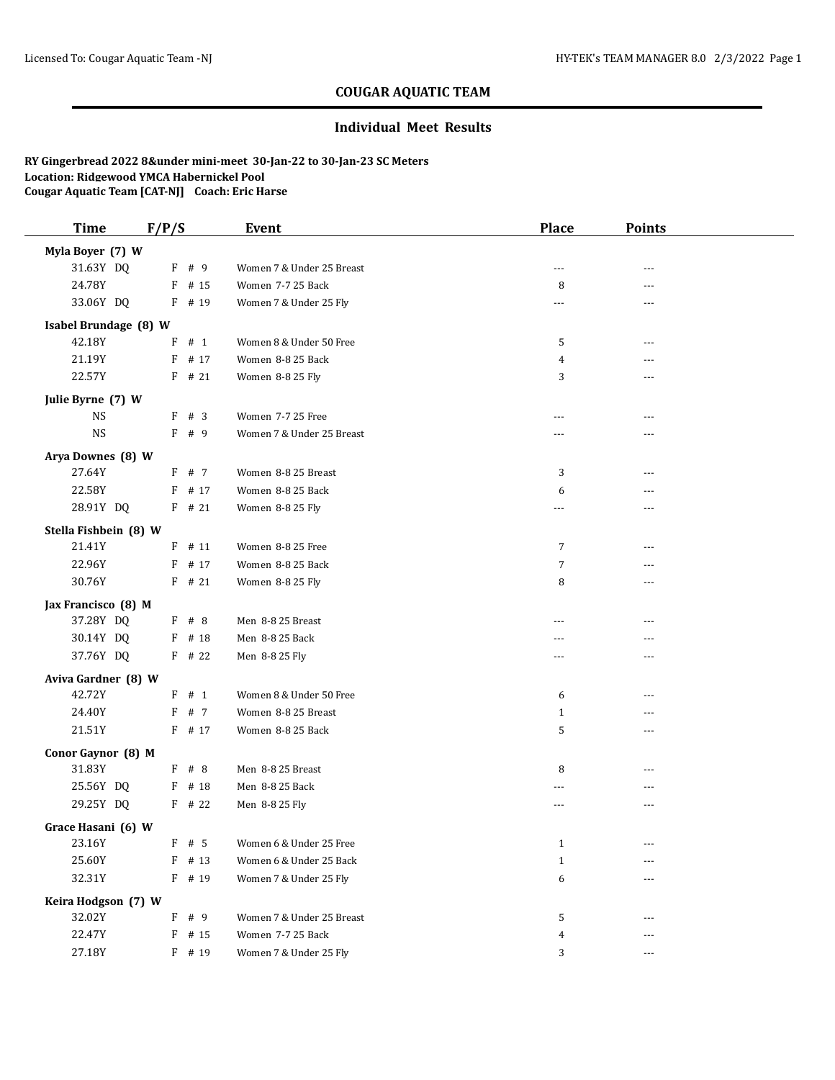## **COUGAR AQUATIC TEAM**

## **Individual Meet Results**

**RY Gingerbread 2022 8&under mini-meet 30-Jan-22 to 30-Jan-23 SC Meters Location: Ridgewood YMCA Habernickel Pool Cougar Aquatic Team [CAT-NJ] Coach: Eric Harse**

| <b>Time</b>           | F/P/S    | <b>Event</b>              | <b>Place</b>   | Points         |  |
|-----------------------|----------|---------------------------|----------------|----------------|--|
| Myla Boyer (7) W      |          |                           |                |                |  |
| 31.63Y DQ             | F # 9    | Women 7 & Under 25 Breast | $\overline{a}$ | $- - -$        |  |
| 24.78Y                | $F$ # 15 | Women 7-7 25 Back         | 8              | ---            |  |
| 33.06Y DQ             | F # 19   | Women 7 & Under 25 Fly    | ---            | $---$          |  |
| Isabel Brundage (8) W |          |                           |                |                |  |
| 42.18Y                | $F$ # 1  | Women 8 & Under 50 Free   | 5              | ---            |  |
| 21.19Y                | $F$ # 17 | Women 8-8 25 Back         | 4              |                |  |
| 22.57Y                | $F$ # 21 | Women 8-8 25 Fly          | 3              | $- - -$        |  |
| Julie Byrne (7) W     |          |                           |                |                |  |
| <b>NS</b>             | F # 3    | Women 7-7 25 Free         | ---            | ---            |  |
| <b>NS</b>             | F # 9    | Women 7 & Under 25 Breast | ---            | $- - -$        |  |
| Arya Downes (8) W     |          |                           |                |                |  |
| 27.64Y                | F # 7    | Women 8-8 25 Breast       | 3              | $- - -$        |  |
| 22.58Y                | $F$ # 17 | Women 8-8 25 Back         | 6              | ---            |  |
| 28.91Y DQ             | $F$ # 21 | Women 8-8 25 Fly          | ---            | ---            |  |
| Stella Fishbein (8) W |          |                           |                |                |  |
| 21.41Y                | $F$ # 11 | Women 8-8 25 Free         | $\overline{7}$ | ---            |  |
| 22.96Y                | F # 17   | Women 8-8 25 Back         | $\overline{7}$ | $---$          |  |
| 30.76Y                | $F$ # 21 | Women 8-8 25 Fly          | 8              | ---            |  |
| Jax Francisco (8) M   |          |                           |                |                |  |
| 37.28Y DQ             | $F$ # 8  | Men 8-8 25 Breast         | ---            |                |  |
| 30.14Y DQ             | $F$ # 18 | Men 8-8 25 Back           | ---            | ---            |  |
| 37.76Y DQ             | $F$ # 22 | Men 8-8 25 Fly            | ---            | $\overline{a}$ |  |
| Aviva Gardner (8) W   |          |                           |                |                |  |
| 42.72Y                | $F$ # 1  | Women 8 & Under 50 Free   | 6              | $- - -$        |  |
| 24.40Y                | F # 7    | Women 8-8 25 Breast       | $\mathbf{1}$   | ---            |  |
| 21.51Y                | $F$ # 17 | Women 8-8 25 Back         | 5              | $- - -$        |  |
| Conor Gaynor (8) M    |          |                           |                |                |  |
| 31.83Y                | $F$ # 8  | Men 8-8 25 Breast         | 8              | $- - -$        |  |
| 25.56Y DQ             | $F$ # 18 | Men 8-8 25 Back           | ---            | ---            |  |
| 29.25Y DQ             | $F$ # 22 | Men 8-8 25 Fly            | ---            | ---            |  |
| Grace Hasani (6) W    |          |                           |                |                |  |
| 23.16Y                | F<br># 5 | Women 6 & Under 25 Free   | $\mathbf{1}$   |                |  |
| 25.60Y                | $F$ # 13 | Women 6 & Under 25 Back   | $\mathbf{1}$   | ---            |  |
| 32.31Y                | $F$ # 19 | Women 7 & Under 25 Fly    | 6              |                |  |
| Keira Hodgson (7) W   |          |                           |                |                |  |
| 32.02Y                | F # 9    | Women 7 & Under 25 Breast | 5              | ---            |  |
| 22.47Y                | $F$ # 15 | Women 7-7 25 Back         | $\overline{4}$ | ---            |  |
| 27.18Y                | F # 19   | Women 7 & Under 25 Fly    | 3              | $\cdots$       |  |
|                       |          |                           |                |                |  |